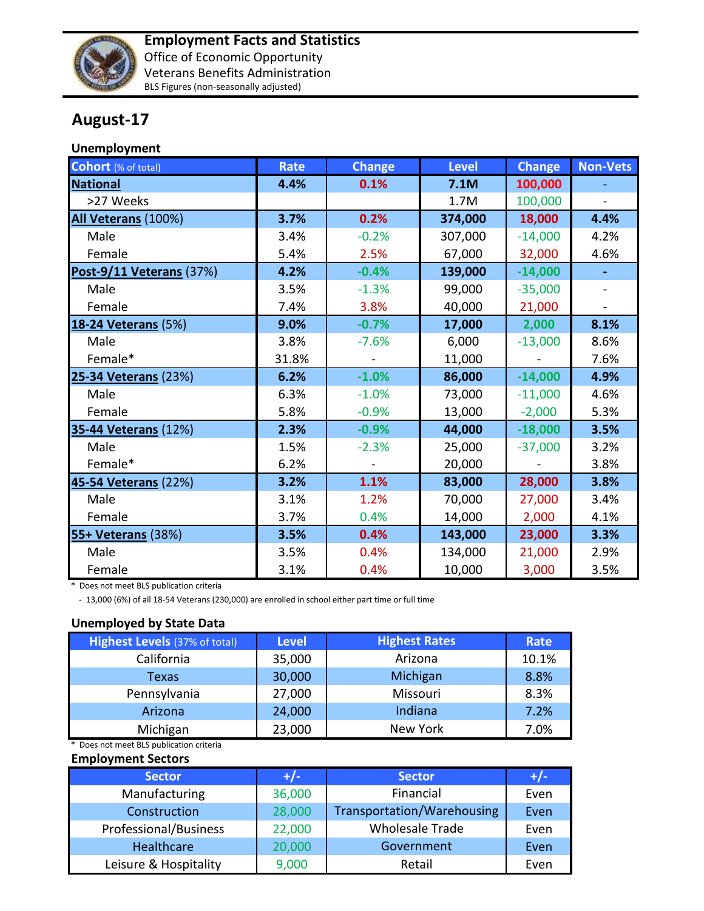

## **August-17**

## **Unemployment**

| <b>Cohort</b> (% of total) | <b>Rate</b> | <b>Change</b> | <b>Level</b> | <b>Change</b> | <b>Non-Vets</b> |
|----------------------------|-------------|---------------|--------------|---------------|-----------------|
| <b>National</b>            | 4.4%        | 0.1%          | 7.1M         | 100,000       |                 |
| >27 Weeks                  |             |               | 1.7M         | 100,000       |                 |
| All Veterans (100%)        | 3.7%        | 0.2%          | 374,000      | 18,000        | 4.4%            |
| Male                       | 3.4%        | $-0.2%$       | 307,000      | $-14,000$     | 4.2%            |
| Female                     | 5.4%        | 2.5%          | 67,000       | 32,000        | 4.6%            |
| Post-9/11 Veterans (37%)   | 4.2%        | $-0.4%$       | 139,000      | $-14,000$     | $\blacksquare$  |
| Male                       | 3.5%        | $-1.3%$       | 99,000       | $-35,000$     |                 |
| Female                     | 7.4%        | 3.8%          | 40,000       | 21,000        |                 |
| <b>18-24 Veterans (5%)</b> | 9.0%        | $-0.7%$       | 17,000       | 2,000         | 8.1%            |
| Male                       | 3.8%        | $-7.6%$       | 6,000        | $-13,000$     | 8.6%            |
| Female*                    | 31.8%       |               | 11,000       |               | 7.6%            |
| 25-34 Veterans (23%)       | 6.2%        | $-1.0%$       | 86,000       | $-14,000$     | 4.9%            |
| Male                       | 6.3%        | $-1.0%$       | 73,000       | $-11,000$     | 4.6%            |
| Female                     | 5.8%        | $-0.9%$       | 13,000       | $-2,000$      | 5.3%            |
| 35-44 Veterans (12%)       | 2.3%        | $-0.9%$       | 44,000       | $-18,000$     | 3.5%            |
| Male                       | 1.5%        | $-2.3%$       | 25,000       | $-37,000$     | 3.2%            |
| Female*                    | 6.2%        |               | 20,000       |               | 3.8%            |
| 45-54 Veterans (22%)       | 3.2%        | 1.1%          | 83,000       | 28,000        | 3.8%            |
| Male                       | 3.1%        | 1.2%          | 70,000       | 27,000        | 3.4%            |
| Female                     | 3.7%        | 0.4%          | 14,000       | 2,000         | 4.1%            |
| 55+ Veterans (38%)         | 3.5%        | 0.4%          | 143,000      | 23,000        | 3.3%            |
| Male                       | 3.5%        | 0.4%          | 134,000      | 21,000        | 2.9%            |
| Female                     | 3.1%        | 0.4%          | 10,000       | 3,000         | 3.5%            |

\* Does not meet BLS publication criteria

- 13,000 (6%) of all 18-54 Veterans (230,000) are enrolled in school either part time or full time

## **Unemployed by State Data**

| <b>Highest Levels</b> (37% of total) | <b>Level</b> | <b>Highest Rates</b> | Rate  |
|--------------------------------------|--------------|----------------------|-------|
| California                           | 35,000       | Arizona              | 10.1% |
| Texas                                | 30,000       | Michigan             | 8.8%  |
| Pennsylvania                         | 27,000       | Missouri             | 8.3%  |
| Arizona                              | 24,000       | Indiana              | 7.2%  |
| Michigan                             | 23,000       | New York             | 7.0%  |

\* Does not meet BLS publication criteria

## **Employment Sectors**

| <b>Sector</b>         | $+/-$  | <b>Sector</b>                     | $+/-$ |
|-----------------------|--------|-----------------------------------|-------|
| Manufacturing         | 36,000 | Financial                         | Even  |
| Construction          | 28,000 | <b>Transportation/Warehousing</b> | Even  |
| Professional/Business | 22,000 | <b>Wholesale Trade</b>            | Even  |
| Healthcare            | 20,000 | Government                        | Even  |
| Leisure & Hospitality | 9,000  | Retail                            | Even  |